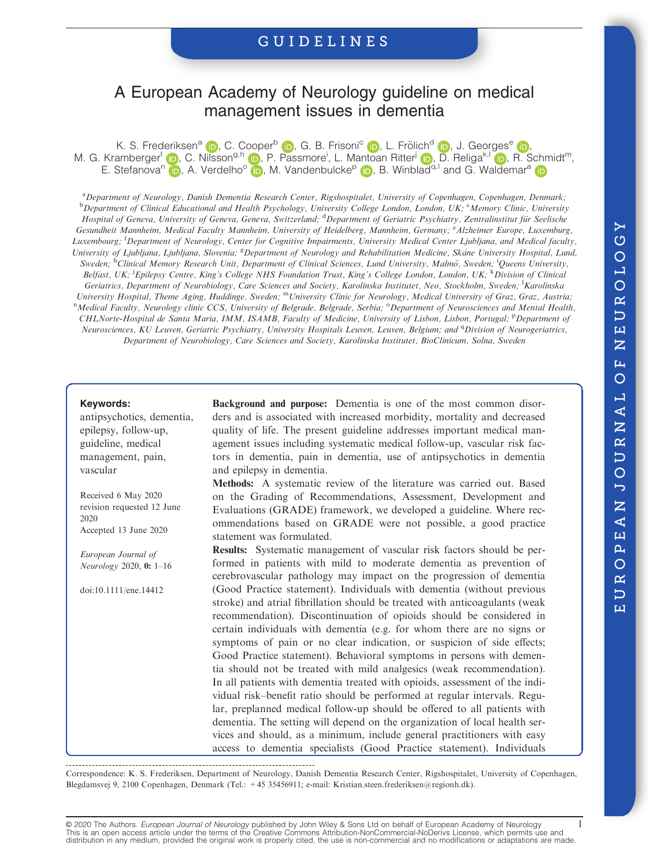# A European Academy of Neurology guideline on medical management issues in dementia

K. S. Frederiksen<sup>[a](https://orcid.org/0000-0001-5124-4417)</sup> (D<su[b](https://orcid.org/0000-0003-0864-5607)>.</sub>, C. Coop[e](https://orcid.org/0000-0003-4862-3031)r<sup>b</sup> (D., G. B. Frisoni<sup>c</sup> (D., L. Frölich<sup>d</sup> (D., J. Georges<sup>e</sup> (D. M. G. Kramberger<sup>f</sup> (D, C. Nilsson<sup>g,h</sup> (D), P. Passmore<sup>i</sup>, L. Mantoan Ritter<sup>[j](https://orcid.org/0000-0003-1406-6118)</sup> (D), D. Religa<sup>k,l</sup> (D), R. Schmidt<sup>m</sup>, E. Stefa[n](https://orcid.org/0000-0001-8231-1176)[o](https://orcid.org/0000-0002-6517-4453)va<su[p](https://orcid.org/0000-0001-9765-1499)>n</sup> (p), A. Verdelho<sup>o</sup> (p), M. V[a](https://orcid.org/0000-0002-3908-3849)ndenbulcke<sup>p</sup> (p), B. Winblad<sup>q, I</sup> and G. Waldemar<sup>a</sup> (p)

a Department of Neurology, Danish Dementia Research Center, Rigshospitalet, University of Copenhagen, Copenhagen, Denmark; **b** Department of Clinical Educational and Health Psychology, University College London, London, UK; <sup>c</sup>Memory Clinic, University Hospital of Geneva, University of Geneva, Geneva, Switzerland; <sup>d</sup>Department of Geriatric Psychiatry, Zentralinstitut für Seelische Gesundheit Mannheim, Medical Faculty Mannheim, University of Heidelberg, Mannheim, Germany; <sup>e</sup>Alzheimer Europe, Luxemburg, Luxembourg; <sup>f</sup>Department of Neurology, Center for Cognitive Impairments, University Medical Center Ljubljana, and Medical faculty, University of Ljubljana, Ljubljana, Slovenia; <sup>g</sup>Department of Neurology and Rehabilitation Medicine, Skåne University Hospital, Lund, Sweden; <sup>h</sup>Clinical Memory Research Unit, Department of Clinical Sciences, Lund University, Malmö, Sweden; <sup>i</sup>Queens University, Belfast, UK; <sup>i</sup>Epilepsy Centre, King's College NHS Foundation Trust, King's College London, London, UK; <sup>k</sup>Division of Clinical Geriatrics, Department of Neurobiology, Care Sciences and Society, Karolinska Institutet, Neo, Stockholm, Sweden; <sup>1</sup>Karolinska University Hospital, Theme Aging, Huddinge, Sweden; mUniversity Clinic for Neurology, Medical University of Graz, Graz, Austria; <sup>n</sup>Medical Faculty, Neurology clinic CCS, University of Belgrade, Belgrade, Serbia; <sup>o</sup>Department of Neurosciences and Mental Health, CHLNorte-Hospital de Santa Maria, IMM, ISAMB, Faculty of Medicine, University of Lisbon, Lisbon, Portugal; <sup>p</sup>Department of Neurosciences, KU Leuven, Geriatric Psychiatry, University Hospitals Leuven, Leuven, Belgium; and <sup>q</sup>Division of Neurogeriatrics, Department of Neurobiology, Care Sciences and Society, Karolinska Institutet, BioClinicum, Solna, Sweden

#### Keywords:

antipsychotics, dementia, epilepsy, follow-up, guideline, medical management, pain, vascular

Received 6 May 2020 revision requested 12 June 2020 Accepted 13 June 2020

European Journal of Neurology 2020, 0: 1–16

doi:10.1111/ene.14412

Background and purpose: Dementia is one of the most common disorders and is associated with increased morbidity, mortality and decreased quality of life. The present guideline addresses important medical management issues including systematic medical follow-up, vascular risk factors in dementia, pain in dementia, use of antipsychotics in dementia and epilepsy in dementia.

Methods: A systematic review of the literature was carried out. Based on the Grading of Recommendations, Assessment, Development and Evaluations (GRADE) framework, we developed a guideline. Where recommendations based on GRADE were not possible, a good practice statement was formulated.

Results: Systematic management of vascular risk factors should be performed in patients with mild to moderate dementia as prevention of cerebrovascular pathology may impact on the progression of dementia (Good Practice statement). Individuals with dementia (without previous stroke) and atrial fibrillation should be treated with anticoagulants (weak recommendation). Discontinuation of opioids should be considered in certain individuals with dementia (e.g. for whom there are no signs or symptoms of pain or no clear indication, or suspicion of side effects; Good Practice statement). Behavioral symptoms in persons with dementia should not be treated with mild analgesics (weak recommendation). In all patients with dementia treated with opioids, assessment of the individual risk–benefit ratio should be performed at regular intervals. Regular, preplanned medical follow-up should be offered to all patients with dementia. The setting will depend on the organization of local health services and should, as a minimum, include general practitioners with easy access to dementia specialists (Good Practice statement). Individuals

Correspondence: K. S. Frederiksen, Department of Neurology, Danish Dementia Research Center, Rigshospitalet, University of Copenhagen, Blegdamsvej 9, 2100 Copenhagen, Denmark (Tel.: +45 35456911; e-mail: [Kristian.steen.frederiksen@regionh.dk\)](mailto:Kristian.steen.frederiksen@regionh.dk).

© 2020 The Authors. European Journal of Neurology published by John Wiley & Sons Ltd on behalf of European Academy of Neurology This is an open access article under the terms of the [Creative Commons Attribution-NonCommercial-NoDerivs](http://creativecommons.org/licenses/by-nc-nd/4.0/) License, which permits use and distribution in any medium, provided the original work is properly cited, the use is non-commercial and no modifications or adaptations are made.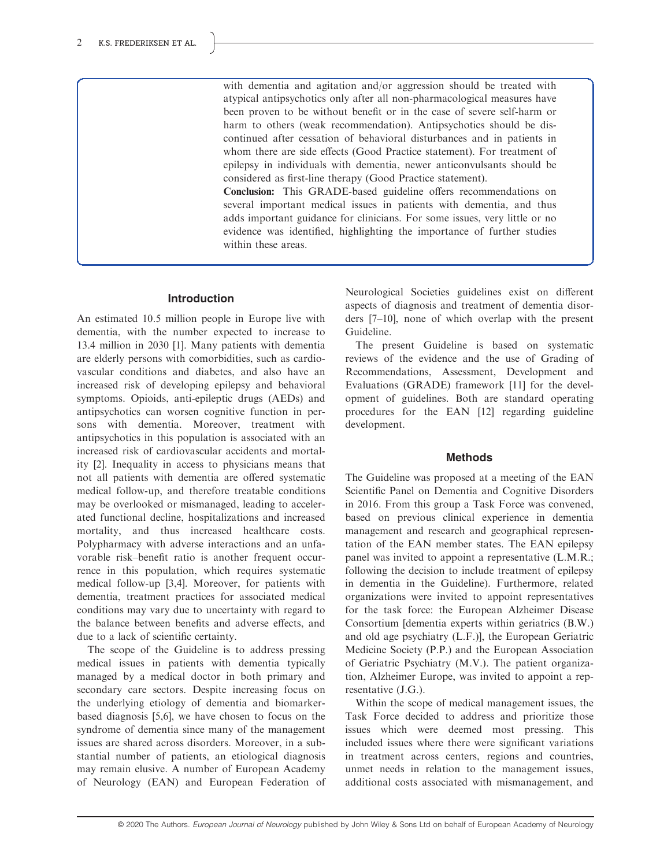with dementia and agitation and/or aggression should be treated with atypical antipsychotics only after all non-pharmacological measures have been proven to be without benefit or in the case of severe self-harm or harm to others (weak recommendation). Antipsychotics should be discontinued after cessation of behavioral disturbances and in patients in whom there are side effects (Good Practice statement). For treatment of epilepsy in individuals with dementia, newer anticonvulsants should be considered as first-line therapy (Good Practice statement).

Conclusion: This GRADE-based guideline offers recommendations on several important medical issues in patients with dementia, and thus adds important guidance for clinicians. For some issues, very little or no evidence was identified, highlighting the importance of further studies within these areas.

#### Introduction

An estimated 10.5 million people in Europe live with dementia, with the number expected to increase to 13.4 million in 2030 [1]. Many patients with dementia are elderly persons with comorbidities, such as cardiovascular conditions and diabetes, and also have an increased risk of developing epilepsy and behavioral symptoms. Opioids, anti-epileptic drugs (AEDs) and antipsychotics can worsen cognitive function in persons with dementia. Moreover, treatment with antipsychotics in this population is associated with an increased risk of cardiovascular accidents and mortality [2]. Inequality in access to physicians means that not all patients with dementia are offered systematic medical follow-up, and therefore treatable conditions may be overlooked or mismanaged, leading to accelerated functional decline, hospitalizations and increased mortality, and thus increased healthcare costs. Polypharmacy with adverse interactions and an unfavorable risk–benefit ratio is another frequent occurrence in this population, which requires systematic medical follow-up [3,4]. Moreover, for patients with dementia, treatment practices for associated medical conditions may vary due to uncertainty with regard to the balance between benefits and adverse effects, and due to a lack of scientific certainty.

The scope of the Guideline is to address pressing medical issues in patients with dementia typically managed by a medical doctor in both primary and secondary care sectors. Despite increasing focus on the underlying etiology of dementia and biomarkerbased diagnosis [5,6], we have chosen to focus on the syndrome of dementia since many of the management issues are shared across disorders. Moreover, in a substantial number of patients, an etiological diagnosis may remain elusive. A number of European Academy of Neurology (EAN) and European Federation of Neurological Societies guidelines exist on different aspects of diagnosis and treatment of dementia disorders [7–10], none of which overlap with the present Guideline.

The present Guideline is based on systematic reviews of the evidence and the use of Grading of Recommendations, Assessment, Development and Evaluations (GRADE) framework [11] for the development of guidelines. Both are standard operating procedures for the EAN [12] regarding guideline development.

#### Methods

The Guideline was proposed at a meeting of the EAN Scientific Panel on Dementia and Cognitive Disorders in 2016. From this group a Task Force was convened, based on previous clinical experience in dementia management and research and geographical representation of the EAN member states. The EAN epilepsy panel was invited to appoint a representative (L.M.R.; following the decision to include treatment of epilepsy in dementia in the Guideline). Furthermore, related organizations were invited to appoint representatives for the task force: the European Alzheimer Disease Consortium [dementia experts within geriatrics (B.W.) and old age psychiatry (L.F.)], the European Geriatric Medicine Society (P.P.) and the European Association of Geriatric Psychiatry (M.V.). The patient organization, Alzheimer Europe, was invited to appoint a representative (J.G.).

Within the scope of medical management issues, the Task Force decided to address and prioritize those issues which were deemed most pressing. This included issues where there were significant variations in treatment across centers, regions and countries, unmet needs in relation to the management issues, additional costs associated with mismanagement, and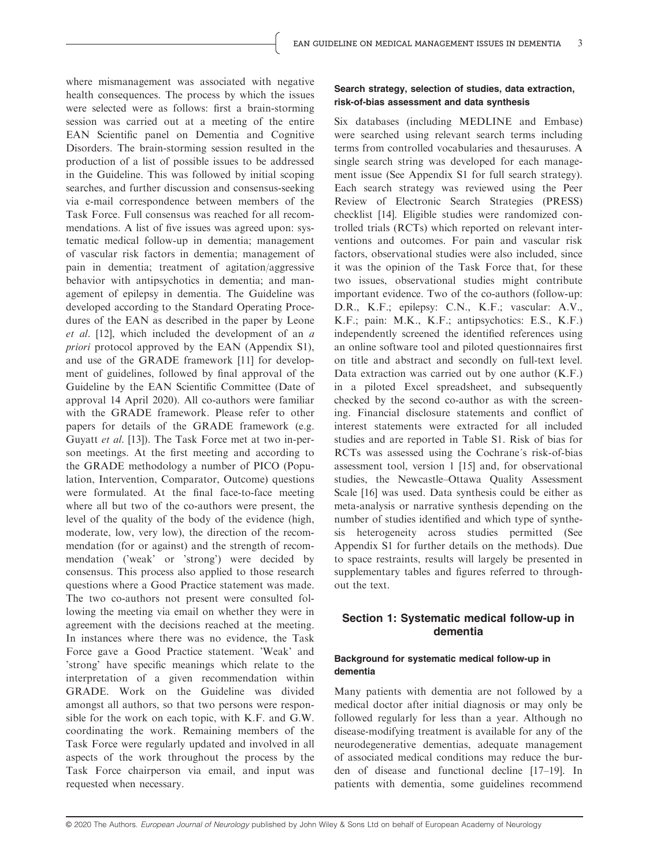where mismanagement was associated with negative health consequences. The process by which the issues were selected were as follows: first a brain-storming session was carried out at a meeting of the entire EAN Scientific panel on Dementia and Cognitive Disorders. The brain-storming session resulted in the production of a list of possible issues to be addressed in the Guideline. This was followed by initial scoping searches, and further discussion and consensus-seeking via e-mail correspondence between members of the Task Force. Full consensus was reached for all recommendations. A list of five issues was agreed upon: systematic medical follow-up in dementia; management of vascular risk factors in dementia; management of pain in dementia; treatment of agitation/aggressive behavior with antipsychotics in dementia; and management of epilepsy in dementia. The Guideline was developed according to the Standard Operating Procedures of the EAN as described in the paper by Leone et al. [12], which included the development of an  $a$ priori protocol approved by the EAN (Appendix S1), and use of the GRADE framework [11] for development of guidelines, followed by final approval of the Guideline by the EAN Scientific Committee (Date of approval 14 April 2020). All co-authors were familiar with the GRADE framework. Please refer to other papers for details of the GRADE framework (e.g. Guyatt et al. [13]). The Task Force met at two in-person meetings. At the first meeting and according to the GRADE methodology a number of PICO (Population, Intervention, Comparator, Outcome) questions were formulated. At the final face-to-face meeting where all but two of the co-authors were present, the level of the quality of the body of the evidence (high, moderate, low, very low), the direction of the recommendation (for or against) and the strength of recommendation ('weak' or 'strong') were decided by consensus. This process also applied to those research questions where a Good Practice statement was made. The two co-authors not present were consulted following the meeting via email on whether they were in agreement with the decisions reached at the meeting. In instances where there was no evidence, the Task Force gave a Good Practice statement. 'Weak' and 'strong' have specific meanings which relate to the interpretation of a given recommendation within GRADE. Work on the Guideline was divided amongst all authors, so that two persons were responsible for the work on each topic, with K.F. and G.W. coordinating the work. Remaining members of the Task Force were regularly updated and involved in all aspects of the work throughout the process by the Task Force chairperson via email, and input was requested when necessary.

#### Search strategy, selection of studies, data extraction, risk-of-bias assessment and data synthesis

Six databases (including MEDLINE and Embase) were searched using relevant search terms including terms from controlled vocabularies and thesauruses. A single search string was developed for each management issue (See Appendix S1 for full search strategy). Each search strategy was reviewed using the Peer Review of Electronic Search Strategies (PRESS) checklist [14]. Eligible studies were randomized controlled trials (RCTs) which reported on relevant interventions and outcomes. For pain and vascular risk factors, observational studies were also included, since it was the opinion of the Task Force that, for these two issues, observational studies might contribute important evidence. Two of the co-authors (follow-up: D.R., K.F.; epilepsy: C.N., K.F.; vascular: A.V., K.F.; pain: M.K., K.F.; antipsychotics: E.S., K.F.) independently screened the identified references using an online software tool and piloted questionnaires first on title and abstract and secondly on full-text level. Data extraction was carried out by one author (K.F.) in a piloted Excel spreadsheet, and subsequently checked by the second co-author as with the screening. Financial disclosure statements and conflict of interest statements were extracted for all included studies and are reported in Table S1. Risk of bias for RCTs was assessed using the Cochrane´s risk-of-bias assessment tool, version 1 [15] and, for observational studies, the Newcastle–Ottawa Quality Assessment Scale [16] was used. Data synthesis could be either as meta-analysis or narrative synthesis depending on the number of studies identified and which type of synthesis heterogeneity across studies permitted (See Appendix S1 for further details on the methods). Due to space restraints, results will largely be presented in supplementary tables and figures referred to throughout the text.

# Section 1: Systematic medical follow-up in dementia

#### Background for systematic medical follow-up in dementia

Many patients with dementia are not followed by a medical doctor after initial diagnosis or may only be followed regularly for less than a year. Although no disease-modifying treatment is available for any of the neurodegenerative dementias, adequate management of associated medical conditions may reduce the burden of disease and functional decline [17–19]. In patients with dementia, some guidelines recommend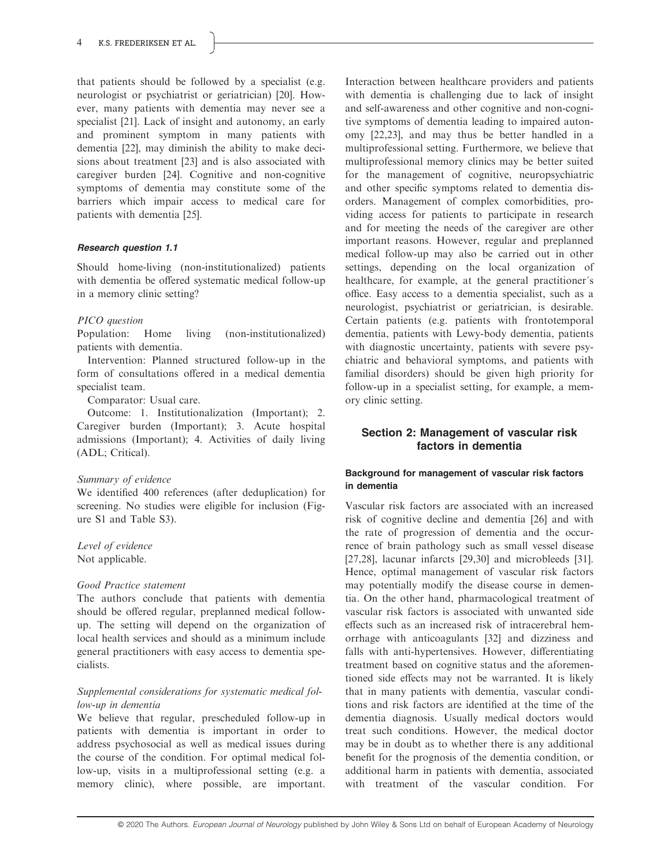that patients should be followed by a specialist (e.g. neurologist or psychiatrist or geriatrician) [20]. However, many patients with dementia may never see a specialist [21]. Lack of insight and autonomy, an early and prominent symptom in many patients with dementia [22], may diminish the ability to make decisions about treatment [23] and is also associated with caregiver burden [24]. Cognitive and non-cognitive symptoms of dementia may constitute some of the barriers which impair access to medical care for patients with dementia [25].

# Research question 1.1

Should home-living (non-institutionalized) patients with dementia be offered systematic medical follow-up in a memory clinic setting?

# PICO question

Population: Home living (non-institutionalized) patients with dementia.

Intervention: Planned structured follow-up in the form of consultations offered in a medical dementia specialist team.

Comparator: Usual care.

Outcome: 1. Institutionalization (Important); 2. Caregiver burden (Important); 3. Acute hospital admissions (Important); 4. Activities of daily living (ADL; Critical).

# Summary of evidence

We identified 400 references (after deduplication) for screening. No studies were eligible for inclusion (Figure S1 and Table S3).

# Level of evidence

Not applicable.

# Good Practice statement

The authors conclude that patients with dementia should be offered regular, preplanned medical followup. The setting will depend on the organization of local health services and should as a minimum include general practitioners with easy access to dementia specialists.

# Supplemental considerations for systematic medical follow-up in dementia

We believe that regular, prescheduled follow-up in patients with dementia is important in order to address psychosocial as well as medical issues during the course of the condition. For optimal medical follow-up, visits in a multiprofessional setting (e.g. a memory clinic), where possible, are important.

Interaction between healthcare providers and patients with dementia is challenging due to lack of insight and self-awareness and other cognitive and non-cognitive symptoms of dementia leading to impaired autonomy [22,23], and may thus be better handled in a multiprofessional setting. Furthermore, we believe that multiprofessional memory clinics may be better suited for the management of cognitive, neuropsychiatric and other specific symptoms related to dementia disorders. Management of complex comorbidities, providing access for patients to participate in research and for meeting the needs of the caregiver are other important reasons. However, regular and preplanned medical follow-up may also be carried out in other settings, depending on the local organization of healthcare, for example, at the general practitioner´s office. Easy access to a dementia specialist, such as a neurologist, psychiatrist or geriatrician, is desirable. Certain patients (e.g. patients with frontotemporal dementia, patients with Lewy-body dementia, patients with diagnostic uncertainty, patients with severe psychiatric and behavioral symptoms, and patients with familial disorders) should be given high priority for follow-up in a specialist setting, for example, a memory clinic setting.

# Section 2: Management of vascular risk factors in dementia

# Background for management of vascular risk factors in dementia

Vascular risk factors are associated with an increased risk of cognitive decline and dementia [26] and with the rate of progression of dementia and the occurrence of brain pathology such as small vessel disease [27,28], lacunar infarcts [29,30] and microbleeds [31]. Hence, optimal management of vascular risk factors may potentially modify the disease course in dementia. On the other hand, pharmacological treatment of vascular risk factors is associated with unwanted side effects such as an increased risk of intracerebral hemorrhage with anticoagulants [32] and dizziness and falls with anti-hypertensives. However, differentiating treatment based on cognitive status and the aforementioned side effects may not be warranted. It is likely that in many patients with dementia, vascular conditions and risk factors are identified at the time of the dementia diagnosis. Usually medical doctors would treat such conditions. However, the medical doctor may be in doubt as to whether there is any additional benefit for the prognosis of the dementia condition, or additional harm in patients with dementia, associated with treatment of the vascular condition. For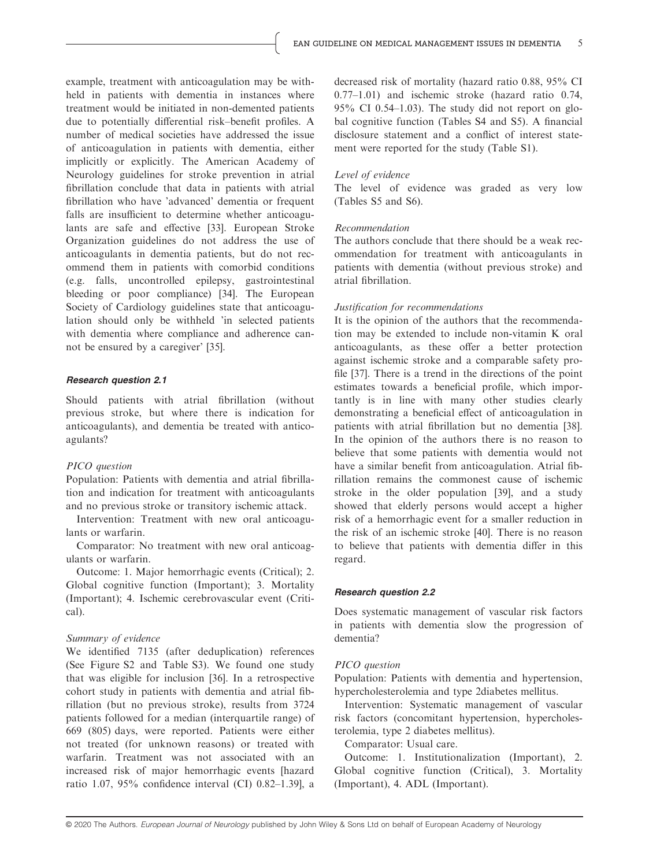example, treatment with anticoagulation may be withheld in patients with dementia in instances where treatment would be initiated in non-demented patients due to potentially differential risk–benefit profiles. A number of medical societies have addressed the issue of anticoagulation in patients with dementia, either implicitly or explicitly. The American Academy of Neurology guidelines for stroke prevention in atrial fibrillation conclude that data in patients with atrial fibrillation who have 'advanced' dementia or frequent falls are insufficient to determine whether anticoagulants are safe and effective [33]. European Stroke Organization guidelines do not address the use of anticoagulants in dementia patients, but do not recommend them in patients with comorbid conditions (e.g. falls, uncontrolled epilepsy, gastrointestinal bleeding or poor compliance) [34]. The European Society of Cardiology guidelines state that anticoagulation should only be withheld 'in selected patients with dementia where compliance and adherence cannot be ensured by a caregiver' [35].

#### Research question 2.1

Should patients with atrial fibrillation (without previous stroke, but where there is indication for anticoagulants), and dementia be treated with anticoagulants?

#### PICO question

Population: Patients with dementia and atrial fibrillation and indication for treatment with anticoagulants and no previous stroke or transitory ischemic attack.

Intervention: Treatment with new oral anticoagulants or warfarin.

Comparator: No treatment with new oral anticoagulants or warfarin.

Outcome: 1. Major hemorrhagic events (Critical); 2. Global cognitive function (Important); 3. Mortality (Important); 4. Ischemic cerebrovascular event (Critical).

#### Summary of evidence

We identified 7135 (after deduplication) references (See Figure S2 and Table S3). We found one study that was eligible for inclusion [36]. In a retrospective cohort study in patients with dementia and atrial fibrillation (but no previous stroke), results from 3724 patients followed for a median (interquartile range) of 669 (805) days, were reported. Patients were either not treated (for unknown reasons) or treated with warfarin. Treatment was not associated with an increased risk of major hemorrhagic events [hazard ratio 1.07, 95% confidence interval (CI) 0.82–1.39], a decreased risk of mortality (hazard ratio 0.88, 95% CI 0.77–1.01) and ischemic stroke (hazard ratio 0.74,  $95\%$  CI 0.54–1.03). The study did not report on global cognitive function (Tables S4 and S5). A financial disclosure statement and a conflict of interest statement were reported for the study (Table S1).

#### Level of evidence

The level of evidence was graded as very low (Tables S5 and S6).

#### Recommendation

The authors conclude that there should be a weak recommendation for treatment with anticoagulants in patients with dementia (without previous stroke) and atrial fibrillation.

#### Justification for recommendations

It is the opinion of the authors that the recommendation may be extended to include non-vitamin K oral anticoagulants, as these offer a better protection against ischemic stroke and a comparable safety profile [37]. There is a trend in the directions of the point estimates towards a beneficial profile, which importantly is in line with many other studies clearly demonstrating a beneficial effect of anticoagulation in patients with atrial fibrillation but no dementia [38]. In the opinion of the authors there is no reason to believe that some patients with dementia would not have a similar benefit from anticoagulation. Atrial fibrillation remains the commonest cause of ischemic stroke in the older population [39], and a study showed that elderly persons would accept a higher risk of a hemorrhagic event for a smaller reduction in the risk of an ischemic stroke [40]. There is no reason to believe that patients with dementia differ in this regard.

#### Research question 2.2

Does systematic management of vascular risk factors in patients with dementia slow the progression of dementia?

#### PICO question

Population: Patients with dementia and hypertension, hypercholesterolemia and type 2diabetes mellitus.

Intervention: Systematic management of vascular risk factors (concomitant hypertension, hypercholesterolemia, type 2 diabetes mellitus).

Comparator: Usual care.

Outcome: 1. Institutionalization (Important), 2. Global cognitive function (Critical), 3. Mortality (Important), 4. ADL (Important).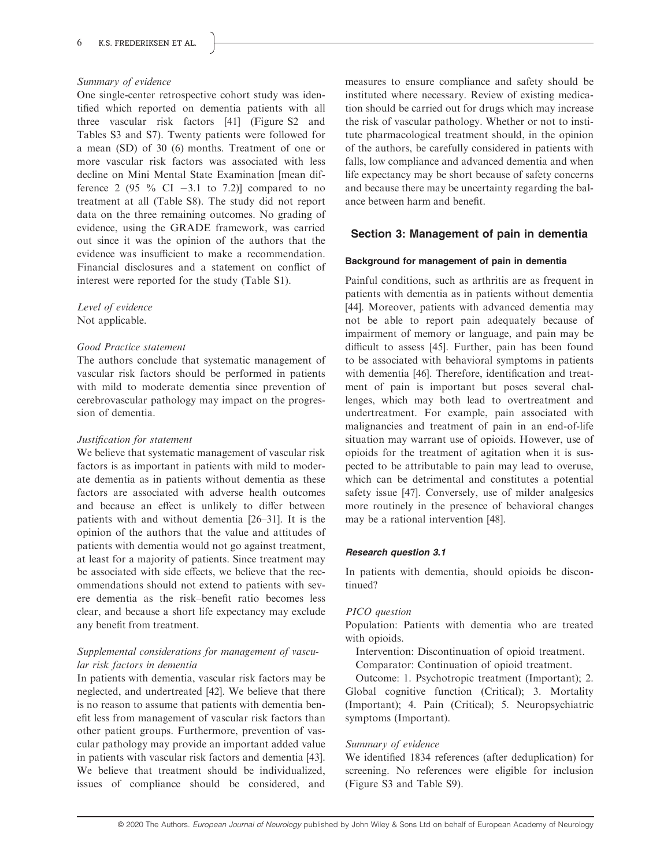#### Summary of evidence

One single-center retrospective cohort study was identified which reported on dementia patients with all three vascular risk factors [41] (Figure S2 and Tables S3 and S7). Twenty patients were followed for a mean (SD) of 30 (6) months. Treatment of one or more vascular risk factors was associated with less decline on Mini Mental State Examination [mean difference 2 (95  $\%$  CI  $-3.1$  to 7.2)] compared to no treatment at all (Table S8). The study did not report data on the three remaining outcomes. No grading of evidence, using the GRADE framework, was carried out since it was the opinion of the authors that the evidence was insufficient to make a recommendation. Financial disclosures and a statement on conflict of interest were reported for the study (Table S1).

Level of evidence Not applicable.

#### Good Practice statement

The authors conclude that systematic management of vascular risk factors should be performed in patients with mild to moderate dementia since prevention of cerebrovascular pathology may impact on the progression of dementia.

#### Justification for statement

We believe that systematic management of vascular risk factors is as important in patients with mild to moderate dementia as in patients without dementia as these factors are associated with adverse health outcomes and because an effect is unlikely to differ between patients with and without dementia [26–31]. It is the opinion of the authors that the value and attitudes of patients with dementia would not go against treatment, at least for a majority of patients. Since treatment may be associated with side effects, we believe that the recommendations should not extend to patients with severe dementia as the risk–benefit ratio becomes less clear, and because a short life expectancy may exclude any benefit from treatment.

# Supplemental considerations for management of vascular risk factors in dementia

In patients with dementia, vascular risk factors may be neglected, and undertreated [42]. We believe that there is no reason to assume that patients with dementia benefit less from management of vascular risk factors than other patient groups. Furthermore, prevention of vascular pathology may provide an important added value in patients with vascular risk factors and dementia [43]. We believe that treatment should be individualized, issues of compliance should be considered, and

measures to ensure compliance and safety should be instituted where necessary. Review of existing medication should be carried out for drugs which may increase the risk of vascular pathology. Whether or not to institute pharmacological treatment should, in the opinion of the authors, be carefully considered in patients with falls, low compliance and advanced dementia and when life expectancy may be short because of safety concerns and because there may be uncertainty regarding the balance between harm and benefit.

# Section 3: Management of pain in dementia

#### Background for management of pain in dementia

Painful conditions, such as arthritis are as frequent in patients with dementia as in patients without dementia [44]. Moreover, patients with advanced dementia may not be able to report pain adequately because of impairment of memory or language, and pain may be difficult to assess [45]. Further, pain has been found to be associated with behavioral symptoms in patients with dementia [46]. Therefore, identification and treatment of pain is important but poses several challenges, which may both lead to overtreatment and undertreatment. For example, pain associated with malignancies and treatment of pain in an end-of-life situation may warrant use of opioids. However, use of opioids for the treatment of agitation when it is suspected to be attributable to pain may lead to overuse, which can be detrimental and constitutes a potential safety issue [47]. Conversely, use of milder analgesics more routinely in the presence of behavioral changes may be a rational intervention [48].

#### Research question 3.1

In patients with dementia, should opioids be discontinued?

#### PICO question

Population: Patients with dementia who are treated with opioids.

Intervention: Discontinuation of opioid treatment.

Comparator: Continuation of opioid treatment.

Outcome: 1. Psychotropic treatment (Important); 2. Global cognitive function (Critical); 3. Mortality (Important); 4. Pain (Critical); 5. Neuropsychiatric symptoms (Important).

#### Summary of evidence

We identified 1834 references (after deduplication) for screening. No references were eligible for inclusion (Figure S3 and Table S9).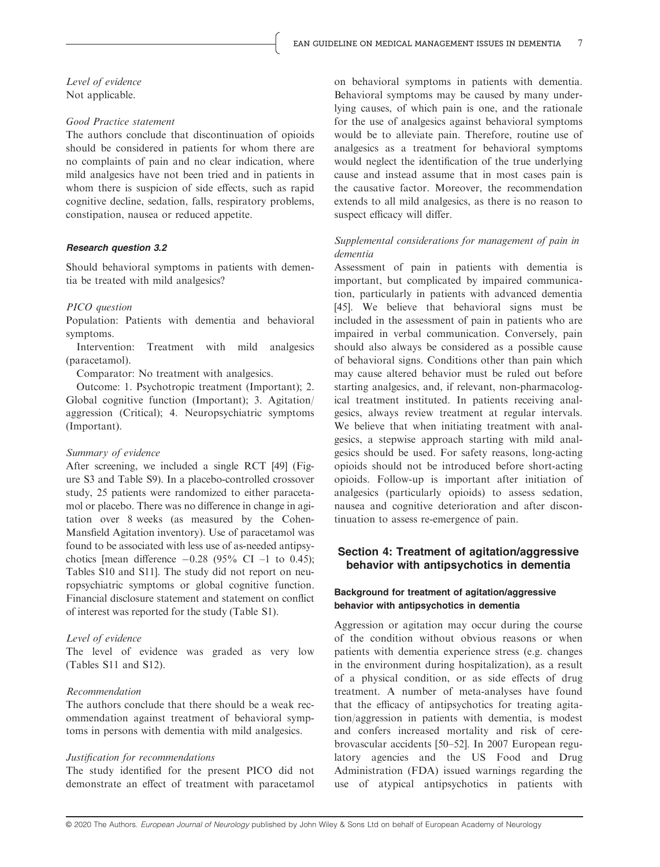Level of evidence Not applicable.

#### Good Practice statement

The authors conclude that discontinuation of opioids should be considered in patients for whom there are no complaints of pain and no clear indication, where mild analgesics have not been tried and in patients in whom there is suspicion of side effects, such as rapid cognitive decline, sedation, falls, respiratory problems, constipation, nausea or reduced appetite.

#### Research question 3.2

Should behavioral symptoms in patients with dementia be treated with mild analgesics?

#### PICO question

Population: Patients with dementia and behavioral symptoms.

Intervention: Treatment with mild analgesics (paracetamol).

Comparator: No treatment with analgesics.

Outcome: 1. Psychotropic treatment (Important); 2. Global cognitive function (Important); 3. Agitation/ aggression (Critical); 4. Neuropsychiatric symptoms (Important).

#### Summary of evidence

After screening, we included a single RCT [49] (Figure S3 and Table S9). In a placebo-controlled crossover study, 25 patients were randomized to either paracetamol or placebo. There was no difference in change in agitation over 8 weeks (as measured by the Cohen-Mansfield Agitation inventory). Use of paracetamol was found to be associated with less use of as-needed antipsychotics [mean difference  $-0.28$  (95% CI –1 to 0.45); Tables S10 and S11]. The study did not report on neuropsychiatric symptoms or global cognitive function. Financial disclosure statement and statement on conflict of interest was reported for the study (Table S1).

#### Level of evidence

The level of evidence was graded as very low (Tables S11 and S12).

#### Recommendation

The authors conclude that there should be a weak recommendation against treatment of behavioral symptoms in persons with dementia with mild analgesics.

#### Justification for recommendations

The study identified for the present PICO did not demonstrate an effect of treatment with paracetamol on behavioral symptoms in patients with dementia. Behavioral symptoms may be caused by many underlying causes, of which pain is one, and the rationale for the use of analgesics against behavioral symptoms would be to alleviate pain. Therefore, routine use of analgesics as a treatment for behavioral symptoms would neglect the identification of the true underlying cause and instead assume that in most cases pain is the causative factor. Moreover, the recommendation extends to all mild analgesics, as there is no reason to suspect efficacy will differ.

# Supplemental considerations for management of pain in dementia

Assessment of pain in patients with dementia is important, but complicated by impaired communication, particularly in patients with advanced dementia [45]. We believe that behavioral signs must be included in the assessment of pain in patients who are impaired in verbal communication. Conversely, pain should also always be considered as a possible cause of behavioral signs. Conditions other than pain which may cause altered behavior must be ruled out before starting analgesics, and, if relevant, non-pharmacological treatment instituted. In patients receiving analgesics, always review treatment at regular intervals. We believe that when initiating treatment with analgesics, a stepwise approach starting with mild analgesics should be used. For safety reasons, long-acting opioids should not be introduced before short-acting opioids. Follow-up is important after initiation of analgesics (particularly opioids) to assess sedation, nausea and cognitive deterioration and after discontinuation to assess re-emergence of pain.

# Section 4: Treatment of agitation/aggressive behavior with antipsychotics in dementia

#### Background for treatment of agitation/aggressive behavior with antipsychotics in dementia

Aggression or agitation may occur during the course of the condition without obvious reasons or when patients with dementia experience stress (e.g. changes in the environment during hospitalization), as a result of a physical condition, or as side effects of drug treatment. A number of meta-analyses have found that the efficacy of antipsychotics for treating agitation/aggression in patients with dementia, is modest and confers increased mortality and risk of cerebrovascular accidents [50–52]. In 2007 European regulatory agencies and the US Food and Drug Administration (FDA) issued warnings regarding the use of atypical antipsychotics in patients with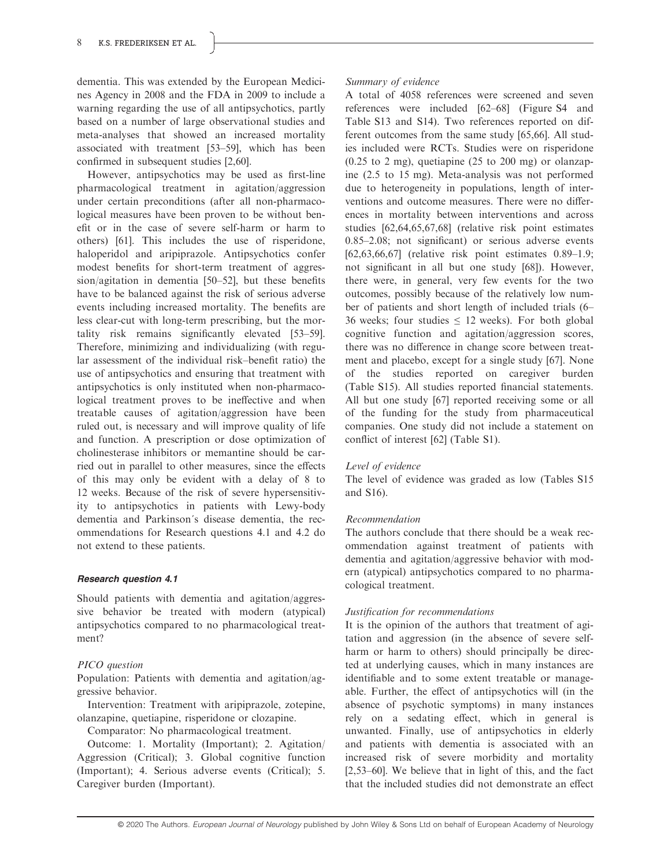dementia. This was extended by the European Medicines Agency in 2008 and the FDA in 2009 to include a warning regarding the use of all antipsychotics, partly based on a number of large observational studies and meta-analyses that showed an increased mortality associated with treatment [53–59], which has been confirmed in subsequent studies [2,60].

However, antipsychotics may be used as first-line pharmacological treatment in agitation/aggression under certain preconditions (after all non-pharmacological measures have been proven to be without benefit or in the case of severe self-harm or harm to others) [61]. This includes the use of risperidone, haloperidol and aripiprazole. Antipsychotics confer modest benefits for short-term treatment of aggression/agitation in dementia [50–52], but these benefits have to be balanced against the risk of serious adverse events including increased mortality. The benefits are less clear-cut with long-term prescribing, but the mortality risk remains significantly elevated [53–59]. Therefore, minimizing and individualizing (with regular assessment of the individual risk–benefit ratio) the use of antipsychotics and ensuring that treatment with antipsychotics is only instituted when non-pharmacological treatment proves to be ineffective and when treatable causes of agitation/aggression have been ruled out, is necessary and will improve quality of life and function. A prescription or dose optimization of cholinesterase inhibitors or memantine should be carried out in parallel to other measures, since the effects of this may only be evident with a delay of 8 to 12 weeks. Because of the risk of severe hypersensitivity to antipsychotics in patients with Lewy-body dementia and Parkinson´s disease dementia, the recommendations for Research questions 4.1 and 4.2 do not extend to these patients.

#### Research question 4.1

Should patients with dementia and agitation/aggressive behavior be treated with modern (atypical) antipsychotics compared to no pharmacological treatment?

# PICO question

Population: Patients with dementia and agitation/aggressive behavior.

Intervention: Treatment with aripiprazole, zotepine, olanzapine, quetiapine, risperidone or clozapine.

Comparator: No pharmacological treatment.

Outcome: 1. Mortality (Important); 2. Agitation/ Aggression (Critical); 3. Global cognitive function (Important); 4. Serious adverse events (Critical); 5. Caregiver burden (Important).

# Summary of evidence

A total of 4058 references were screened and seven references were included [62–68] (Figure S4 and Table S13 and S14). Two references reported on different outcomes from the same study [65,66]. All studies included were RCTs. Studies were on risperidone  $(0.25 \text{ to } 2 \text{ mg})$ , quetiapine  $(25 \text{ to } 200 \text{ mg})$  or olanzapine (2.5 to 15 mg). Meta-analysis was not performed due to heterogeneity in populations, length of interventions and outcome measures. There were no differences in mortality between interventions and across studies [62,64,65,67,68] (relative risk point estimates 0.85–2.08; not significant) or serious adverse events [62,63,66,67] (relative risk point estimates 0.89–1.9; not significant in all but one study [68]). However, there were, in general, very few events for the two outcomes, possibly because of the relatively low number of patients and short length of included trials (6– 36 weeks; four studies  $\leq$  12 weeks). For both global cognitive function and agitation/aggression scores, there was no difference in change score between treatment and placebo, except for a single study [67]. None of the studies reported on caregiver burden (Table S15). All studies reported financial statements. All but one study [67] reported receiving some or all of the funding for the study from pharmaceutical companies. One study did not include a statement on conflict of interest [62] (Table S1).

# Level of evidence

The level of evidence was graded as low (Tables S15 and S16).

#### Recommendation

The authors conclude that there should be a weak recommendation against treatment of patients with dementia and agitation/aggressive behavior with modern (atypical) antipsychotics compared to no pharmacological treatment.

# Justification for recommendations

It is the opinion of the authors that treatment of agitation and aggression (in the absence of severe selfharm or harm to others) should principally be directed at underlying causes, which in many instances are identifiable and to some extent treatable or manageable. Further, the effect of antipsychotics will (in the absence of psychotic symptoms) in many instances rely on a sedating effect, which in general is unwanted. Finally, use of antipsychotics in elderly and patients with dementia is associated with an increased risk of severe morbidity and mortality [2,53–60]. We believe that in light of this, and the fact that the included studies did not demonstrate an effect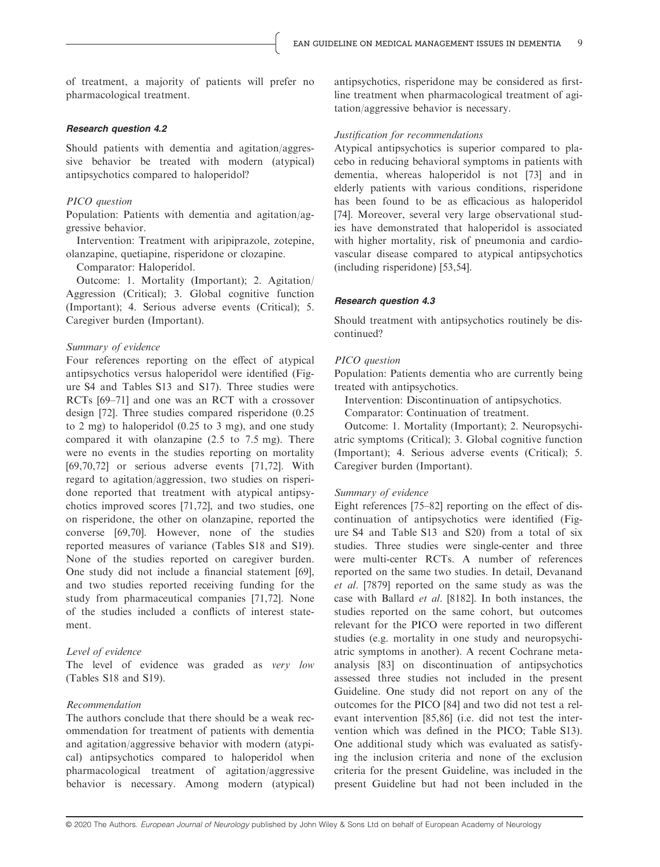of treatment, a majority of patients will prefer no pharmacological treatment.

#### Research question 4.2

Should patients with dementia and agitation/aggressive behavior be treated with modern (atypical) antipsychotics compared to haloperidol?

#### PICO question

Population: Patients with dementia and agitation/aggressive behavior.

Intervention: Treatment with aripiprazole, zotepine, olanzapine, quetiapine, risperidone or clozapine.

Comparator: Haloperidol.

Outcome: 1. Mortality (Important); 2. Agitation/ Aggression (Critical); 3. Global cognitive function (Important); 4. Serious adverse events (Critical); 5. Caregiver burden (Important).

#### Summary of evidence

Four references reporting on the effect of atypical antipsychotics versus haloperidol were identified (Figure S4 and Tables S13 and S17). Three studies were RCTs [69–71] and one was an RCT with a crossover design [72]. Three studies compared risperidone (0.25 to 2 mg) to haloperidol (0.25 to 3 mg), and one study compared it with olanzapine (2.5 to 7.5 mg). There were no events in the studies reporting on mortality [69,70,72] or serious adverse events [71,72]. With regard to agitation/aggression, two studies on risperidone reported that treatment with atypical antipsychotics improved scores [71,72], and two studies, one on risperidone, the other on olanzapine, reported the converse [69,70]. However, none of the studies reported measures of variance (Tables S18 and S19). None of the studies reported on caregiver burden. One study did not include a financial statement [69], and two studies reported receiving funding for the study from pharmaceutical companies [71,72]. None of the studies included a conflicts of interest statement.

#### Level of evidence

The level of evidence was graded as very low (Tables S18 and S19).

#### Recommendation

The authors conclude that there should be a weak recommendation for treatment of patients with dementia and agitation/aggressive behavior with modern (atypical) antipsychotics compared to haloperidol when pharmacological treatment of agitation/aggressive behavior is necessary. Among modern (atypical) antipsychotics, risperidone may be considered as firstline treatment when pharmacological treatment of agitation/aggressive behavior is necessary.

#### Justification for recommendations

Atypical antipsychotics is superior compared to placebo in reducing behavioral symptoms in patients with dementia, whereas haloperidol is not [73] and in elderly patients with various conditions, risperidone has been found to be as efficacious as haloperidol [74]. Moreover, several very large observational studies have demonstrated that haloperidol is associated with higher mortality, risk of pneumonia and cardiovascular disease compared to atypical antipsychotics (including risperidone) [53,54].

#### Research question 4.3

Should treatment with antipsychotics routinely be discontinued?

#### PICO question

Population: Patients dementia who are currently being treated with antipsychotics.

Intervention: Discontinuation of antipsychotics.

Comparator: Continuation of treatment.

Outcome: 1. Mortality (Important); 2. Neuropsychiatric symptoms (Critical); 3. Global cognitive function (Important); 4. Serious adverse events (Critical); 5. Caregiver burden (Important).

#### Summary of evidence

Eight references [75–82] reporting on the effect of discontinuation of antipsychotics were identified (Figure S4 and Table S13 and S20) from a total of six studies. Three studies were single-center and three were multi-center RCTs. A number of references reported on the same two studies. In detail, Devanand et al. [7879] reported on the same study as was the case with Ballard et al. [8182]. In both instances, the studies reported on the same cohort, but outcomes relevant for the PICO were reported in two different studies (e.g. mortality in one study and neuropsychiatric symptoms in another). A recent Cochrane metaanalysis [83] on discontinuation of antipsychotics assessed three studies not included in the present Guideline. One study did not report on any of the outcomes for the PICO [84] and two did not test a relevant intervention [85,86] (i.e. did not test the intervention which was defined in the PICO; Table S13). One additional study which was evaluated as satisfying the inclusion criteria and none of the exclusion criteria for the present Guideline, was included in the present Guideline but had not been included in the

<sup>© 2020</sup> The Authors. European Journal of Neurology published by John Wiley & Sons Ltd on behalf of European Academy of Neurology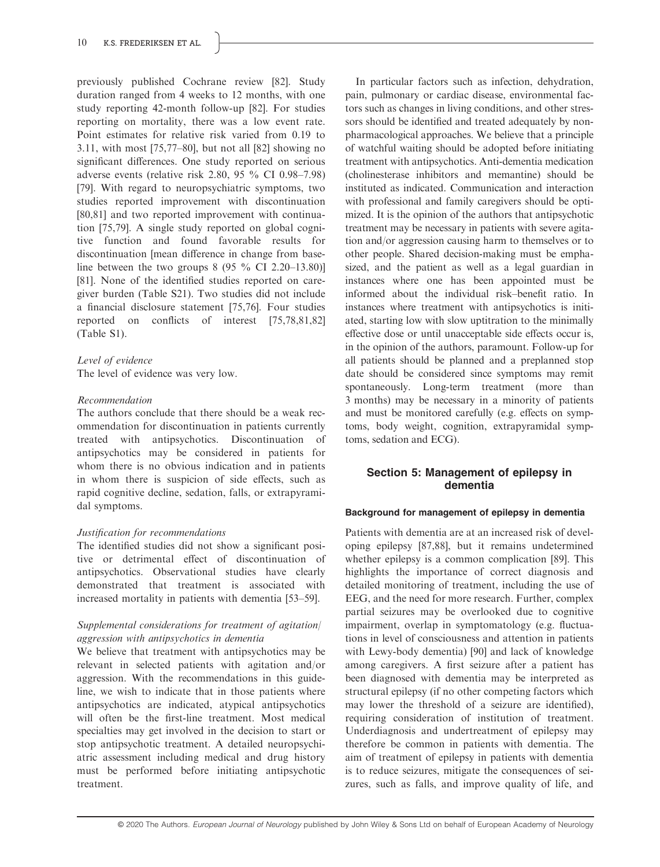previously published Cochrane review [82]. Study duration ranged from 4 weeks to 12 months, with one study reporting 42-month follow-up [82]. For studies reporting on mortality, there was a low event rate. Point estimates for relative risk varied from 0.19 to 3.11, with most [75,77–80], but not all [82] showing no significant differences. One study reported on serious adverse events (relative risk 2.80, 95 % CI 0.98–7.98) [79]. With regard to neuropsychiatric symptoms, two studies reported improvement with discontinuation [80,81] and two reported improvement with continuation [75,79]. A single study reported on global cognitive function and found favorable results for discontinuation [mean difference in change from baseline between the two groups  $8$  (95  $\%$  CI 2.20–13.80)] [81]. None of the identified studies reported on caregiver burden (Table S21). Two studies did not include a financial disclosure statement [75,76]. Four studies reported on conflicts of interest [75,78,81,82] (Table S1).

# Level of evidence

The level of evidence was very low.

# Recommendation

The authors conclude that there should be a weak recommendation for discontinuation in patients currently treated with antipsychotics. Discontinuation of antipsychotics may be considered in patients for whom there is no obvious indication and in patients in whom there is suspicion of side effects, such as rapid cognitive decline, sedation, falls, or extrapyramidal symptoms.

# Justification for recommendations

The identified studies did not show a significant positive or detrimental effect of discontinuation of antipsychotics. Observational studies have clearly demonstrated that treatment is associated with increased mortality in patients with dementia [53–59].

# Supplemental considerations for treatment of agitation/ aggression with antipsychotics in dementia

We believe that treatment with antipsychotics may be relevant in selected patients with agitation and/or aggression. With the recommendations in this guideline, we wish to indicate that in those patients where antipsychotics are indicated, atypical antipsychotics will often be the first-line treatment. Most medical specialties may get involved in the decision to start or stop antipsychotic treatment. A detailed neuropsychiatric assessment including medical and drug history must be performed before initiating antipsychotic treatment.

In particular factors such as infection, dehydration, pain, pulmonary or cardiac disease, environmental factors such as changes in living conditions, and other stressors should be identified and treated adequately by nonpharmacological approaches. We believe that a principle of watchful waiting should be adopted before initiating treatment with antipsychotics. Anti-dementia medication (cholinesterase inhibitors and memantine) should be instituted as indicated. Communication and interaction with professional and family caregivers should be optimized. It is the opinion of the authors that antipsychotic treatment may be necessary in patients with severe agitation and/or aggression causing harm to themselves or to other people. Shared decision-making must be emphasized, and the patient as well as a legal guardian in instances where one has been appointed must be informed about the individual risk–benefit ratio. In instances where treatment with antipsychotics is initiated, starting low with slow uptitration to the minimally effective dose or until unacceptable side effects occur is, in the opinion of the authors, paramount. Follow-up for all patients should be planned and a preplanned stop date should be considered since symptoms may remit spontaneously. Long-term treatment (more than 3 months) may be necessary in a minority of patients and must be monitored carefully (e.g. effects on symptoms, body weight, cognition, extrapyramidal symptoms, sedation and ECG).

# Section 5: Management of epilepsy in dementia

#### Background for management of epilepsy in dementia

Patients with dementia are at an increased risk of developing epilepsy [87,88], but it remains undetermined whether epilepsy is a common complication [89]. This highlights the importance of correct diagnosis and detailed monitoring of treatment, including the use of EEG, and the need for more research. Further, complex partial seizures may be overlooked due to cognitive impairment, overlap in symptomatology (e.g. fluctuations in level of consciousness and attention in patients with Lewy-body dementia) [90] and lack of knowledge among caregivers. A first seizure after a patient has been diagnosed with dementia may be interpreted as structural epilepsy (if no other competing factors which may lower the threshold of a seizure are identified), requiring consideration of institution of treatment. Underdiagnosis and undertreatment of epilepsy may therefore be common in patients with dementia. The aim of treatment of epilepsy in patients with dementia is to reduce seizures, mitigate the consequences of seizures, such as falls, and improve quality of life, and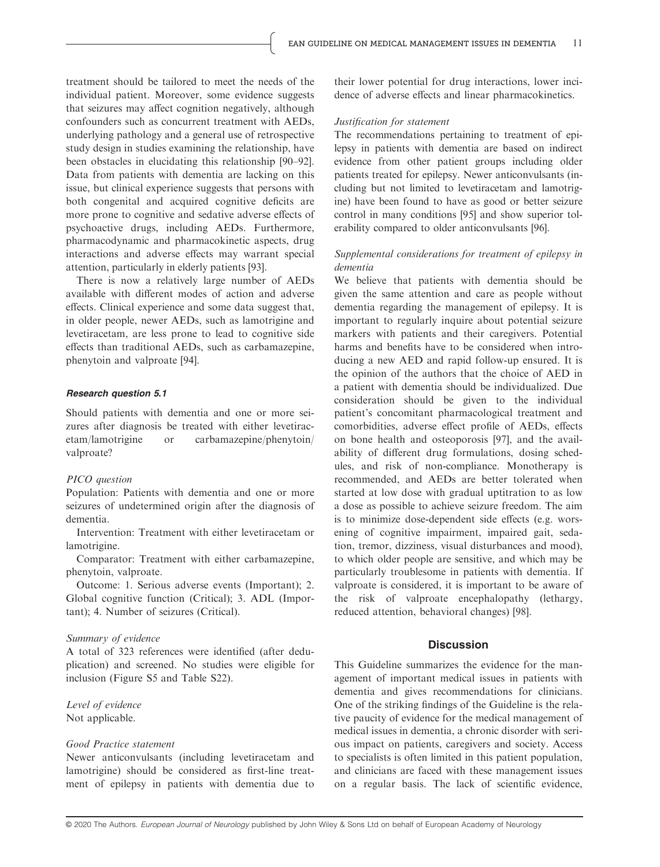treatment should be tailored to meet the needs of the individual patient. Moreover, some evidence suggests that seizures may affect cognition negatively, although confounders such as concurrent treatment with AEDs, underlying pathology and a general use of retrospective study design in studies examining the relationship, have been obstacles in elucidating this relationship [90–92]. Data from patients with dementia are lacking on this issue, but clinical experience suggests that persons with both congenital and acquired cognitive deficits are more prone to cognitive and sedative adverse effects of psychoactive drugs, including AEDs. Furthermore, pharmacodynamic and pharmacokinetic aspects, drug interactions and adverse effects may warrant special attention, particularly in elderly patients [93].

There is now a relatively large number of AEDs available with different modes of action and adverse effects. Clinical experience and some data suggest that, in older people, newer AEDs, such as lamotrigine and levetiracetam, are less prone to lead to cognitive side effects than traditional AEDs, such as carbamazepine, phenytoin and valproate [94].

#### Research question 5.1

Should patients with dementia and one or more seizures after diagnosis be treated with either levetiracetam/lamotrigine or carbamazepine/phenytoin/ valproate?

#### PICO question

Population: Patients with dementia and one or more seizures of undetermined origin after the diagnosis of dementia.

Intervention: Treatment with either levetiracetam or lamotrigine.

Comparator: Treatment with either carbamazepine, phenytoin, valproate.

Outcome: 1. Serious adverse events (Important); 2. Global cognitive function (Critical); 3. ADL (Important); 4. Number of seizures (Critical).

#### Summary of evidence

A total of 323 references were identified (after deduplication) and screened. No studies were eligible for inclusion (Figure S5 and Table S22).

# Level of evidence Not applicable.

# Good Practice statement

Newer anticonvulsants (including levetiracetam and lamotrigine) should be considered as first-line treatment of epilepsy in patients with dementia due to

their lower potential for drug interactions, lower incidence of adverse effects and linear pharmacokinetics.

#### Justification for statement

The recommendations pertaining to treatment of epilepsy in patients with dementia are based on indirect evidence from other patient groups including older patients treated for epilepsy. Newer anticonvulsants (including but not limited to levetiracetam and lamotrigine) have been found to have as good or better seizure control in many conditions [95] and show superior tolerability compared to older anticonvulsants [96].

#### Supplemental considerations for treatment of epilepsy in dementia

We believe that patients with dementia should be given the same attention and care as people without dementia regarding the management of epilepsy. It is important to regularly inquire about potential seizure markers with patients and their caregivers. Potential harms and benefits have to be considered when introducing a new AED and rapid follow-up ensured. It is the opinion of the authors that the choice of AED in a patient with dementia should be individualized. Due consideration should be given to the individual patient's concomitant pharmacological treatment and comorbidities, adverse effect profile of AEDs, effects on bone health and osteoporosis [97], and the availability of different drug formulations, dosing schedules, and risk of non-compliance. Monotherapy is recommended, and AEDs are better tolerated when started at low dose with gradual uptitration to as low a dose as possible to achieve seizure freedom. The aim is to minimize dose-dependent side effects (e.g. worsening of cognitive impairment, impaired gait, sedation, tremor, dizziness, visual disturbances and mood), to which older people are sensitive, and which may be particularly troublesome in patients with dementia. If valproate is considered, it is important to be aware of the risk of valproate encephalopathy (lethargy, reduced attention, behavioral changes) [98].

#### **Discussion**

This Guideline summarizes the evidence for the management of important medical issues in patients with dementia and gives recommendations for clinicians. One of the striking findings of the Guideline is the relative paucity of evidence for the medical management of medical issues in dementia, a chronic disorder with serious impact on patients, caregivers and society. Access to specialists is often limited in this patient population, and clinicians are faced with these management issues on a regular basis. The lack of scientific evidence,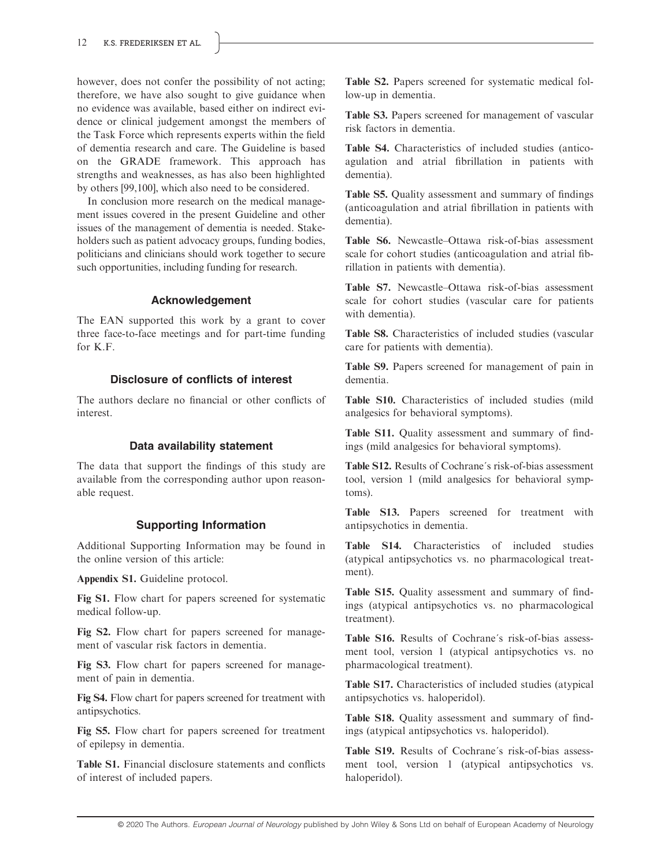however, does not confer the possibility of not acting; therefore, we have also sought to give guidance when no evidence was available, based either on indirect evidence or clinical judgement amongst the members of the Task Force which represents experts within the field of dementia research and care. The Guideline is based on the GRADE framework. This approach has strengths and weaknesses, as has also been highlighted by others [99,100], which also need to be considered.

In conclusion more research on the medical management issues covered in the present Guideline and other issues of the management of dementia is needed. Stakeholders such as patient advocacy groups, funding bodies, politicians and clinicians should work together to secure such opportunities, including funding for research.

# Acknowledgement

The EAN supported this work by a grant to cover three face-to-face meetings and for part-time funding for K.F.

# Disclosure of conflicts of interest

The authors declare no financial or other conflicts of interest.

# Data availability statement

The data that support the findings of this study are available from the corresponding author upon reasonable request.

# Supporting Information

Additional Supporting Information may be found in the online version of this article:

Appendix S1. Guideline protocol.

Fig S1. Flow chart for papers screened for systematic medical follow-up.

Fig S2. Flow chart for papers screened for management of vascular risk factors in dementia.

Fig S3. Flow chart for papers screened for management of pain in dementia.

Fig S4. Flow chart for papers screened for treatment with antipsychotics.

Fig S5. Flow chart for papers screened for treatment of epilepsy in dementia.

Table S1. Financial disclosure statements and conflicts of interest of included papers.

Table S2. Papers screened for systematic medical follow-up in dementia.

Table S3. Papers screened for management of vascular risk factors in dementia.

Table S4. Characteristics of included studies (anticoagulation and atrial fibrillation in patients with dementia).

Table S5. Quality assessment and summary of findings (anticoagulation and atrial fibrillation in patients with dementia).

Table S6. Newcastle–Ottawa risk-of-bias assessment scale for cohort studies (anticoagulation and atrial fibrillation in patients with dementia).

Table S7. Newcastle–Ottawa risk-of-bias assessment scale for cohort studies (vascular care for patients with dementia).

Table S8. Characteristics of included studies (vascular care for patients with dementia).

Table S9. Papers screened for management of pain in dementia.

Table S10. Characteristics of included studies (mild analgesics for behavioral symptoms).

Table S11. Quality assessment and summary of findings (mild analgesics for behavioral symptoms).

Table S12. Results of Cochrane´s risk-of-bias assessment tool, version 1 (mild analgesics for behavioral symptoms).

Table S13. Papers screened for treatment with antipsychotics in dementia.

Table S14. Characteristics of included studies (atypical antipsychotics vs. no pharmacological treatment).

Table S15. Quality assessment and summary of findings (atypical antipsychotics vs. no pharmacological treatment).

Table S16. Results of Cochrane´s risk-of-bias assessment tool, version 1 (atypical antipsychotics vs. no pharmacological treatment).

Table S17. Characteristics of included studies (atypical antipsychotics vs. haloperidol).

Table S18. Quality assessment and summary of findings (atypical antipsychotics vs. haloperidol).

Table S19. Results of Cochrane´s risk-of-bias assessment tool, version 1 (atypical antipsychotics vs. haloperidol).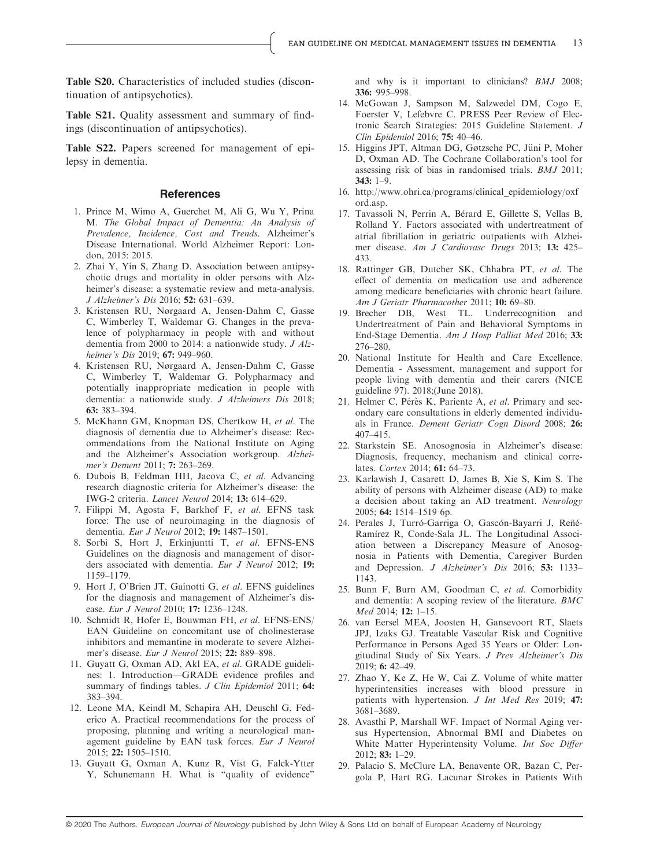Table S20. Characteristics of included studies (discontinuation of antipsychotics).

Table S21. Quality assessment and summary of findings (discontinuation of antipsychotics).

Table S22. Papers screened for management of epilepsy in dementia.

#### References

- 1. Prince M, Wimo A, Guerchet M, Ali G, Wu Y, Prina M. The Global Impact of Dementia: An Analysis of Prevalence, Incidence, Cost and Trends. Alzheimer's Disease International. World Alzheimer Report: London, 2015: 2015.
- 2. Zhai Y, Yin S, Zhang D. Association between antipsychotic drugs and mortality in older persons with Alzheimer's disease: a systematic review and meta-analysis. J Alzheimer's Dis 2016; 52: 631–639.
- 3. Kristensen RU, Nørgaard A, Jensen-Dahm C, Gasse C, Wimberley T, Waldemar G. Changes in the prevalence of polypharmacy in people with and without dementia from 2000 to 2014: a nationwide study. J Alzheimer's Dis 2019; 67: 949–960.
- 4. Kristensen RU, Nørgaard A, Jensen-Dahm C, Gasse C, Wimberley T, Waldemar G. Polypharmacy and potentially inappropriate medication in people with dementia: a nationwide study. J Alzheimers Dis 2018; 63: 383–394.
- 5. McKhann GM, Knopman DS, Chertkow H, et al. The diagnosis of dementia due to Alzheimer's disease: Recommendations from the National Institute on Aging and the Alzheimer's Association workgroup. Alzheimer's Dement 2011; 7: 263–269.
- 6. Dubois B, Feldman HH, Jacova C, et al. Advancing research diagnostic criteria for Alzheimer's disease: the IWG-2 criteria. Lancet Neurol 2014; 13: 614–629.
- 7. Filippi M, Agosta F, Barkhof F, et al. EFNS task force: The use of neuroimaging in the diagnosis of dementia. Eur J Neurol 2012; 19: 1487–1501.
- 8. Sorbi S, Hort J, Erkinjuntti T, et al. EFNS-ENS Guidelines on the diagnosis and management of disorders associated with dementia. Eur J Neurol 2012; 19: 1159–1179.
- 9. Hort J, O'Brien JT, Gainotti G, et al. EFNS guidelines for the diagnosis and management of Alzheimer's disease. Eur J Neurol 2010; 17: 1236–1248.
- 10. Schmidt R, Hofer E, Bouwman FH, et al. EFNS-ENS/ EAN Guideline on concomitant use of cholinesterase inhibitors and memantine in moderate to severe Alzheimer's disease. Eur J Neurol 2015; 22: 889–898.
- 11. Guyatt G, Oxman AD, Akl EA, et al. GRADE guidelines: 1. Introduction—GRADE evidence profiles and summary of findings tables. J Clin Epidemiol 2011; 64: 383–394.
- 12. Leone MA, Keindl M, Schapira AH, Deuschl G, Federico A. Practical recommendations for the process of proposing, planning and writing a neurological management guideline by EAN task forces. Eur J Neurol 2015; 22: 1505–1510.
- 13. Guyatt G, Oxman A, Kunz R, Vist G, Falck-Ytter Y, Schunemann H. What is "quality of evidence"

and why is it important to clinicians? BMJ 2008; 336: 995–998.

- 14. McGowan J, Sampson M, Salzwedel DM, Cogo E, Foerster V, Lefebvre C. PRESS Peer Review of Electronic Search Strategies: 2015 Guideline Statement. J Clin Epidemiol 2016; 75: 40–46.
- 15. Higgins JPT, Altman DG, Gøtzsche PC, Jüni P, Moher D, Oxman AD. The Cochrane Collaboration's tool for assessing risk of bias in randomised trials. BMJ 2011; 343: 1–9.
- 16. [http://www.ohri.ca/programs/clinical\\_epidemiology/oxf](http://www.ohri.ca/programs/clinical_epidemiology/oxford.asp) [ord.asp.](http://www.ohri.ca/programs/clinical_epidemiology/oxford.asp)
- 17. Tavassoli N, Perrin A, Bérard E, Gillette S, Vellas B, Rolland Y. Factors associated with undertreatment of atrial fibrillation in geriatric outpatients with Alzheimer disease. Am J Cardiovasc Drugs 2013; 13: 425– 433.
- 18. Rattinger GB, Dutcher SK, Chhabra PT, et al. The effect of dementia on medication use and adherence among medicare beneficiaries with chronic heart failure. Am J Geriatr Pharmacother 2011; 10: 69-80.
- 19. Brecher DB, West TL. Underrecognition and Undertreatment of Pain and Behavioral Symptoms in End-Stage Dementia. Am J Hosp Palliat Med 2016; 33: 276–280.
- 20. National Institute for Health and Care Excellence. Dementia - Assessment, management and support for people living with dementia and their carers (NICE guideline 97). 2018;(June 2018).
- 21. Helmer C, Pérès K, Pariente A, et al. Primary and secondary care consultations in elderly demented individuals in France. Dement Geriatr Cogn Disord 2008; 26: 407–415.
- 22. Starkstein SE. Anosognosia in Alzheimer's disease: Diagnosis, frequency, mechanism and clinical correlates. Cortex 2014; 61: 64-73.
- 23. Karlawish J, Casarett D, James B, Xie S, Kim S. The ability of persons with Alzheimer disease (AD) to make a decision about taking an AD treatment. Neurology 2005; 64: 1514–1519 6p.
- 24. Perales J, Turró-Garriga O, Gascón-Bayarri J, Reñé-Ramírez R, Conde-Sala JL. The Longitudinal Association between a Discrepancy Measure of Anosognosia in Patients with Dementia, Caregiver Burden and Depression. J Alzheimer's Dis 2016; 53: 1133-1143.
- 25. Bunn F, Burn AM, Goodman C, et al. Comorbidity and dementia: A scoping review of the literature. BMC Med 2014; 12: 1–15.
- 26. van Eersel MEA, Joosten H, Gansevoort RT, Slaets JPJ, Izaks GJ. Treatable Vascular Risk and Cognitive Performance in Persons Aged 35 Years or Older: Longitudinal Study of Six Years. J Prev Alzheimer's Dis 2019; 6: 42–49.
- 27. Zhao Y, Ke Z, He W, Cai Z. Volume of white matter hyperintensities increases with blood pressure in patients with hypertension. J Int Med Res 2019; 47: 3681–3689.
- 28. Avasthi P, Marshall WF. Impact of Normal Aging versus Hypertension, Abnormal BMI and Diabetes on White Matter Hyperintensity Volume. Int Soc Differ 2012; 83: 1–29.
- 29. Palacio S, McClure LA, Benavente OR, Bazan C, Pergola P, Hart RG. Lacunar Strokes in Patients With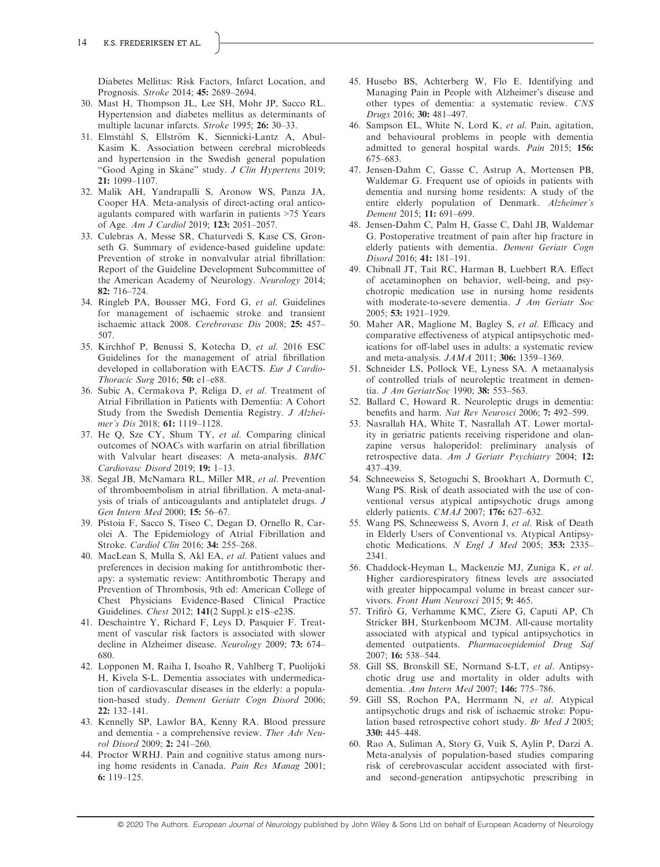Diabetes Mellitus: Risk Factors, Infarct Location, and Prognosis. Stroke 2014; 45: 2689–2694.

- 30. Mast H, Thompson JL, Lee SH, Mohr JP, Sacco RL. Hypertension and diabetes mellitus as determinants of multiple lacunar infarcts. Stroke 1995; 26: 30–33.
- 31. Elmståhl S, Ellström K, Siennicki-Lantz A, Abul-Kasim K. Association between cerebral microbleeds and hypertension in the Swedish general population "Good Aging in Skane" study. J Clin Hypertens 2019; 21: 1099–1107.
- 32. Malik AH, Yandrapalli S, Aronow WS, Panza JA, Cooper HA. Meta-analysis of direct-acting oral anticoagulants compared with warfarin in patients >75 Years of Age. Am J Cardiol 2019; 123: 2051–2057.
- 33. Culebras A, Messe SR, Chaturvedi S, Kase CS, Gronseth G. Summary of evidence-based guideline update: Prevention of stroke in nonvalvular atrial fibrillation: Report of the Guideline Development Subcommittee of the American Academy of Neurology. Neurology 2014; 82: 716–724.
- 34. Ringleb PA, Bousser MG, Ford G, et al. Guidelines for management of ischaemic stroke and transient ischaemic attack 2008. Cerebrovasc Dis 2008; 25: 457– 507.
- 35. Kirchhof P, Benussi S, Kotecha D, et al. 2016 ESC Guidelines for the management of atrial fibrillation developed in collaboration with EACTS. Eur J Cardio-Thoracic Surg 2016; 50: e1–e88.
- 36. Subic A, Cermakova P, Religa D, et al. Treatment of Atrial Fibrillation in Patients with Dementia: A Cohort Study from the Swedish Dementia Registry. J Alzheimer's Dis 2018; 61: 1119–1128.
- 37. He Q, Sze CY, Shum TY, et al. Comparing clinical outcomes of NOACs with warfarin on atrial fibrillation with Valvular heart diseases: A meta-analysis. BMC Cardiovasc Disord 2019; 19: 1–13.
- 38. Segal JB, McNamara RL, Miller MR, et al. Prevention of thromboembolism in atrial fibrillation. A meta-analysis of trials of anticoagulants and antiplatelet drugs. J Gen Intern Med 2000; 15: 56–67.
- 39. Pistoia F, Sacco S, Tiseo C, Degan D, Ornello R, Carolei A. The Epidemiology of Atrial Fibrillation and Stroke. Cardiol Clin 2016; 34: 255–268.
- 40. MacLean S, Mulla S, Akl EA, et al. Patient values and preferences in decision making for antithrombotic therapy: a systematic review: Antithrombotic Therapy and Prevention of Thrombosis, 9th ed: American College of Chest Physicians Evidence-Based Clinical Practice Guidelines. Chest 2012; 141(2 Suppl.): e1S–e23S.
- 41. Deschaintre Y, Richard F, Leys D, Pasquier F. Treatment of vascular risk factors is associated with slower decline in Alzheimer disease. Neurology 2009; 73: 674– 680.
- 42. Lopponen M, Raiha I, Isoaho R, Vahlberg T, Puolijoki H, Kivela S-L. Dementia associates with undermedication of cardiovascular diseases in the elderly: a population-based study. Dement Geriatr Cogn Disord 2006; 22: 132–141.
- 43. Kennelly SP, Lawlor BA, Kenny RA. Blood pressure and dementia - a comprehensive review. Ther Adv Neurol Disord 2009; 2: 241–260.
- 44. Proctor WRHJ. Pain and cognitive status among nursing home residents in Canada. Pain Res Manag 2001; 6: 119–125.
- 45. Husebo BS, Achterberg W, Flo E. Identifying and Managing Pain in People with Alzheimer's disease and other types of dementia: a systematic review. CNS Drugs 2016; 30: 481–497.
- 46. Sampson EL, White N, Lord K, et al. Pain, agitation, and behavioural problems in people with dementia admitted to general hospital wards. Pain 2015; 156: 675–683.
- 47. Jensen-Dahm C, Gasse C, Astrup A, Mortensen PB, Waldemar G. Frequent use of opioids in patients with dementia and nursing home residents: A study of the entire elderly population of Denmark. Alzheimer's Dement 2015; 11: 691–699.
- 48. Jensen-Dahm C, Palm H, Gasse C, Dahl JB, Waldemar G. Postoperative treatment of pain after hip fracture in elderly patients with dementia. Dement Geriatr Cogn Disord 2016; 41: 181–191.
- 49. Chibnall JT, Tait RC, Harman B, Luebbert RA. Effect of acetaminophen on behavior, well-being, and psychotropic medication use in nursing home residents with moderate-to-severe dementia. J Am Geriatr Soc 2005; 53: 1921–1929.
- 50. Maher AR, Maglione M, Bagley S, et al. Efficacy and comparative effectiveness of atypical antipsychotic medications for off-label uses in adults: a systematic review and meta-analysis. JAMA 2011; 306: 1359–1369.
- 51. Schneider LS, Pollock VE, Lyness SA. A metaanalysis of controlled trials of neuroleptic treatment in dementia. *J Am GeriatrSoc* 1990; 38: 553-563.
- 52. Ballard C, Howard R. Neuroleptic drugs in dementia: benefits and harm. Nat Rev Neurosci 2006; 7: 492–599.
- 53. Nasrallah HA, White T, Nasrallah AT. Lower mortality in geriatric patients receiving risperidone and olanzapine versus haloperidol: preliminary analysis of retrospective data. Am J Geriatr Psychiatry 2004; 12: 437–439.
- 54. Schneeweiss S, Setoguchi S, Brookhart A, Dormuth C, Wang PS. Risk of death associated with the use of conventional versus atypical antipsychotic drugs among elderly patients. CMAJ 2007; 176: 627–632.
- 55. Wang PS, Schneeweiss S, Avorn J, et al. Risk of Death in Elderly Users of Conventional vs. Atypical Antipsychotic Medications. N Engl J Med 2005; 353: 2335– 2341.
- 56. Chaddock-Heyman L, Mackenzie MJ, Zuniga K, et al. Higher cardiorespiratory fitness levels are associated with greater hippocampal volume in breast cancer survivors. Front Hum Neurosci 2015; 9: 465.
- 57. Trifirò G, Verhamme KMC, Ziere G, Caputi AP, Ch Stricker BH, Sturkenboom MCJM. All-cause mortality associated with atypical and typical antipsychotics in demented outpatients. Pharmacoepidemiol Drug Saf 2007; 16: 538–544.
- 58. Gill SS, Bronskill SE, Normand S-LT, et al. Antipsychotic drug use and mortality in older adults with dementia. Ann Intern Med 2007; 146: 775–786.
- 59. Gill SS, Rochon PA, Herrmann N, et al. Atypical antipsychotic drugs and risk of ischaemic stroke: Population based retrospective cohort study. Br Med J 2005; 330: 445–448.
- 60. Rao A, Suliman A, Story G, Vuik S, Aylin P, Darzi A. Meta-analysis of population-based studies comparing risk of cerebrovascular accident associated with firstand second-generation antipsychotic prescribing in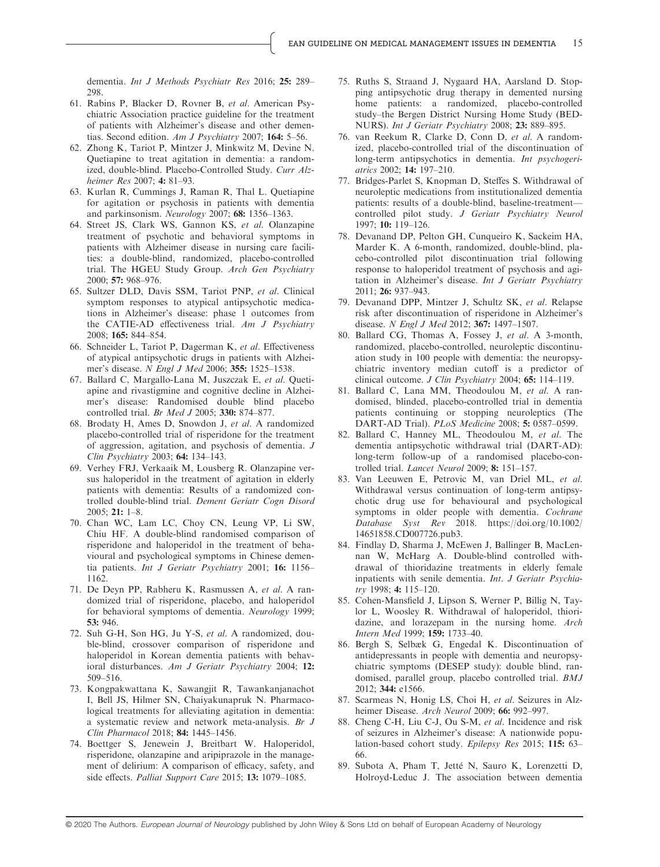dementia. Int J Methods Psychiatr Res 2016; 25: 289– 298.

- 61. Rabins P, Blacker D, Rovner B, et al. American Psychiatric Association practice guideline for the treatment of patients with Alzheimer's disease and other dementias. Second edition. Am J Psychiatry 2007; 164: 5–56.
- 62. Zhong K, Tariot P, Mintzer J, Minkwitz M, Devine N. Quetiapine to treat agitation in dementia: a randomized, double-blind. Placebo-Controlled Study. Curr Alzheimer Res 2007; 4: 81–93.
- 63. Kurlan R, Cummings J, Raman R, Thal L. Quetiapine for agitation or psychosis in patients with dementia and parkinsonism. Neurology 2007; 68: 1356–1363.
- 64. Street JS, Clark WS, Gannon KS, et al. Olanzapine treatment of psychotic and behavioral symptoms in patients with Alzheimer disease in nursing care facilities: a double-blind, randomized, placebo-controlled trial. The HGEU Study Group. Arch Gen Psychiatry 2000; 57: 968–976.
- 65. Sultzer DLD, Davis SSM, Tariot PNP, et al. Clinical symptom responses to atypical antipsychotic medications in Alzheimer's disease: phase 1 outcomes from the CATIE-AD effectiveness trial. Am J Psychiatry 2008; 165: 844–854.
- 66. Schneider L, Tariot P, Dagerman K, et al. Effectiveness of atypical antipsychotic drugs in patients with Alzheimer's disease. N Engl J Med 2006; 355: 1525–1538.
- 67. Ballard C, Margallo-Lana M, Juszczak E, et al. Quetiapine and rivastigmine and cognitive decline in Alzheimer's disease: Randomised double blind placebo controlled trial. Br Med J 2005; 330: 874–877.
- 68. Brodaty H, Ames D, Snowdon J, et al. A randomized placebo-controlled trial of risperidone for the treatment of aggression, agitation, and psychosis of dementia. J Clin Psychiatry 2003; 64: 134–143.
- 69. Verhey FRJ, Verkaaik M, Lousberg R. Olanzapine versus haloperidol in the treatment of agitation in elderly patients with dementia: Results of a randomized controlled double-blind trial. Dement Geriatr Cogn Disord 2005; 21: 1–8.
- 70. Chan WC, Lam LC, Choy CN, Leung VP, Li SW, Chiu HF. A double-blind randomised comparison of risperidone and haloperidol in the treatment of behavioural and psychological symptoms in Chinese dementia patients. Int J Geriatr Psychiatry 2001; 16: 1156-1162.
- 71. De Deyn PP, Rabheru K, Rasmussen A, et al. A randomized trial of risperidone, placebo, and haloperidol for behavioral symptoms of dementia. Neurology 1999; 53: 946.
- 72. Suh G-H, Son HG, Ju Y-S, et al. A randomized, double-blind, crossover comparison of risperidone and haloperidol in Korean dementia patients with behavioral disturbances. Am J Geriatr Psychiatry 2004; 12: 509–516.
- 73. Kongpakwattana K, Sawangjit R, Tawankanjanachot I, Bell JS, Hilmer SN, Chaiyakunapruk N. Pharmacological treatments for alleviating agitation in dementia: a systematic review and network meta-analysis. Br J Clin Pharmacol 2018; 84: 1445–1456.
- 74. Boettger S, Jenewein J, Breitbart W. Haloperidol, risperidone, olanzapine and aripiprazole in the management of delirium: A comparison of efficacy, safety, and side effects. Palliat Support Care 2015; 13: 1079–1085.
- 75. Ruths S, Straand J, Nygaard HA, Aarsland D. Stopping antipsychotic drug therapy in demented nursing home patients: a randomized, placebo-controlled study–the Bergen District Nursing Home Study (BED-NURS). Int J Geriatr Psychiatry 2008; 23: 889–895.
- 76. van Reekum R, Clarke D, Conn D, et al. A randomized, placebo-controlled trial of the discontinuation of long-term antipsychotics in dementia. Int psychogeriatrics 2002; 14: 197–210.
- 77. Bridges-Parlet S, Knopman D, Steffes S. Withdrawal of neuroleptic medications from institutionalized dementia patients: results of a double-blind, baseline-treatment controlled pilot study. J Geriatr Psychiatry Neurol 1997; 10: 119–126.
- 78. Devanand DP, Pelton GH, Cunqueiro K, Sackeim HA, Marder K. A 6-month, randomized, double-blind, placebo-controlled pilot discontinuation trial following response to haloperidol treatment of psychosis and agitation in Alzheimer's disease. Int J Geriatr Psychiatry 2011; 26: 937–943.
- 79. Devanand DPP, Mintzer J, Schultz SK, et al. Relapse risk after discontinuation of risperidone in Alzheimer's disease. N Engl J Med 2012; 367: 1497–1507.
- 80. Ballard CG, Thomas A, Fossey J, et al. A 3-month, randomized, placebo-controlled, neuroleptic discontinuation study in 100 people with dementia: the neuropsychiatric inventory median cutoff is a predictor of clinical outcome. J Clin Psychiatry 2004; 65: 114–119.
- 81. Ballard C, Lana MM, Theodoulou M, et al. A randomised, blinded, placebo-controlled trial in dementia patients continuing or stopping neuroleptics (The DART-AD Trial). PLoS Medicine 2008; 5: 0587–0599.
- 82. Ballard C, Hanney ML, Theodoulou M, et al. The dementia antipsychotic withdrawal trial (DART-AD): long-term follow-up of a randomised placebo-controlled trial. Lancet Neurol 2009; 8: 151–157.
- 83. Van Leeuwen E, Petrovic M, van Driel ML, et al. Withdrawal versus continuation of long-term antipsychotic drug use for behavioural and psychological symptoms in older people with dementia. Cochrane Database Syst Rev 2018. [https://doi.org/10.1002/](https://doi.org/10.1002/14651858.CD007726.pub3) [14651858.CD007726.pub3.](https://doi.org/10.1002/14651858.CD007726.pub3)
- 84. Findlay D, Sharma J, McEwen J, Ballinger B, MacLennan W, McHarg A. Double-blind controlled withdrawal of thioridazine treatments in elderly female inpatients with senile dementia. Int. J Geriatr Psychiatry 1998; 4: 115–120.
- 85. Cohen-Mansfield J, Lipson S, Werner P, Billig N, Taylor L, Woosley R. Withdrawal of haloperidol, thioridazine, and lorazepam in the nursing home. Arch Intern Med 1999; 159: 1733–40.
- 86. Bergh S, Selbæk G, Engedal K. Discontinuation of antidepressants in people with dementia and neuropsychiatric symptoms (DESEP study): double blind, randomised, parallel group, placebo controlled trial. BMJ 2012; 344: e1566.
- 87. Scarmeas N, Honig LS, Choi H, et al. Seizures in Alzheimer Disease. Arch Neurol 2009; 66: 992–997.
- 88. Cheng C-H, Liu C-J, Ou S-M, et al. Incidence and risk of seizures in Alzheimer's disease: A nationwide population-based cohort study. Epilepsy Res 2015; 115: 63– 66.
- 89. Subota A, Pham T, Jetté N, Sauro K, Lorenzetti D, Holroyd-Leduc J. The association between dementia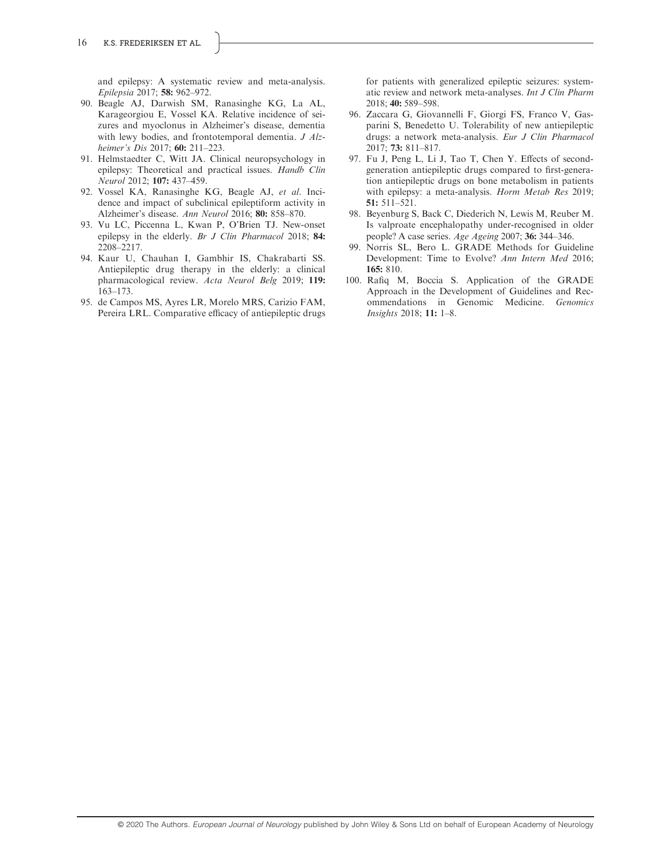and epilepsy: A systematic review and meta-analysis. Epilepsia 2017; 58: 962–972.

- 90. Beagle AJ, Darwish SM, Ranasinghe KG, La AL, Karageorgiou E, Vossel KA. Relative incidence of seizures and myoclonus in Alzheimer's disease, dementia with lewy bodies, and frontotemporal dementia. J Alzheimer's Dis 2017; **60:** 211-223.
- 91. Helmstaedter C, Witt JA. Clinical neuropsychology in epilepsy: Theoretical and practical issues. Handb Clin Neurol 2012; 107: 437–459.
- 92. Vossel KA, Ranasinghe KG, Beagle AJ, et al. Incidence and impact of subclinical epileptiform activity in Alzheimer's disease. Ann Neurol 2016; 80: 858–870.
- 93. Vu LC, Piccenna L, Kwan P, O'Brien TJ. New-onset epilepsy in the elderly. Br J Clin Pharmacol 2018; 84: 2208–2217.
- 94. Kaur U, Chauhan I, Gambhir IS, Chakrabarti SS. Antiepileptic drug therapy in the elderly: a clinical pharmacological review. Acta Neurol Belg 2019; 119: 163–173.
- 95. de Campos MS, Ayres LR, Morelo MRS, Carizio FAM, Pereira LRL. Comparative efficacy of antiepileptic drugs

for patients with generalized epileptic seizures: systematic review and network meta-analyses. Int J Clin Pharm 2018; 40: 589–598.

- 96. Zaccara G, Giovannelli F, Giorgi FS, Franco V, Gasparini S, Benedetto U. Tolerability of new antiepileptic drugs: a network meta-analysis. Eur J Clin Pharmacol 2017; 73: 811–817.
- 97. Fu J, Peng L, Li J, Tao T, Chen Y. Effects of secondgeneration antiepileptic drugs compared to first-generation antiepileptic drugs on bone metabolism in patients with epilepsy: a meta-analysis. Horm Metab Res 2019; 51: 511–521.
- 98. Beyenburg S, Back C, Diederich N, Lewis M, Reuber M. Is valproate encephalopathy under-recognised in older people? A case series. Age Ageing 2007; 36: 344–346.
- 99. Norris SL, Bero L. GRADE Methods for Guideline Development: Time to Evolve? Ann Intern Med 2016; 165: 810.
- 100. Rafiq M, Boccia S. Application of the GRADE Approach in the Development of Guidelines and Recommendations in Genomic Medicine. Genomics Insights 2018; 11: 1–8.